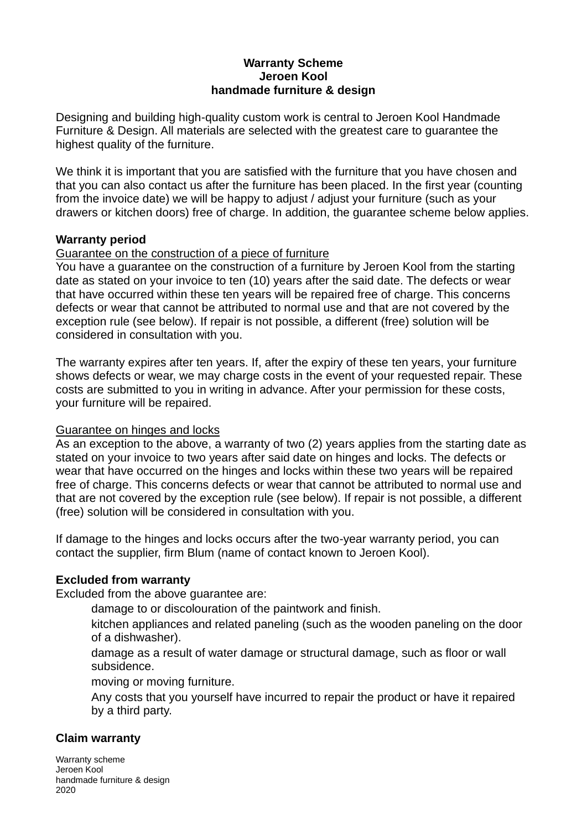#### **Warranty Scheme Jeroen Kool handmade furniture & design**

Designing and building high-quality custom work is central to Jeroen Kool Handmade Furniture & Design. All materials are selected with the greatest care to guarantee the highest quality of the furniture.

We think it is important that you are satisfied with the furniture that you have chosen and that you can also contact us after the furniture has been placed. In the first year (counting from the invoice date) we will be happy to adjust / adjust your furniture (such as your drawers or kitchen doors) free of charge. In addition, the guarantee scheme below applies.

### **Warranty period**

### Guarantee on the construction of a piece of furniture

You have a guarantee on the construction of a furniture by Jeroen Kool from the starting date as stated on your invoice to ten (10) years after the said date. The defects or wear that have occurred within these ten years will be repaired free of charge. This concerns defects or wear that cannot be attributed to normal use and that are not covered by the exception rule (see below). If repair is not possible, a different (free) solution will be considered in consultation with you.

The warranty expires after ten years. If, after the expiry of these ten years, your furniture shows defects or wear, we may charge costs in the event of your requested repair. These costs are submitted to you in writing in advance. After your permission for these costs, your furniture will be repaired.

### Guarantee on hinges and locks

As an exception to the above, a warranty of two (2) years applies from the starting date as stated on your invoice to two years after said date on hinges and locks. The defects or wear that have occurred on the hinges and locks within these two years will be repaired free of charge. This concerns defects or wear that cannot be attributed to normal use and that are not covered by the exception rule (see below). If repair is not possible, a different (free) solution will be considered in consultation with you.

If damage to the hinges and locks occurs after the two-year warranty period, you can contact the supplier, firm Blum (name of contact known to Jeroen Kool).

### **Excluded from warranty**

Excluded from the above guarantee are:

damage to or discolouration of the paintwork and finish.

kitchen appliances and related paneling (such as the wooden paneling on the door of a dishwasher).

damage as a result of water damage or structural damage, such as floor or wall subsidence.

moving or moving furniture.

Any costs that you yourself have incurred to repair the product or have it repaired by a third party.

## **Claim warranty**

Warranty scheme Jeroen Kool handmade furniture & design 2020